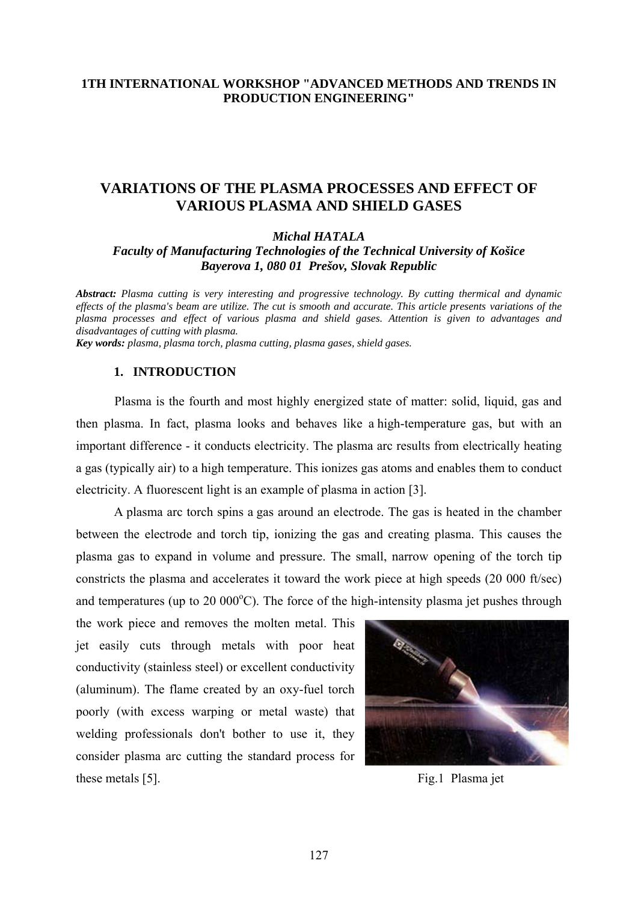# **1TH INTERNATIONAL WORKSHOP "ADVANCED METHODS AND TRENDS IN PRODUCTION ENGINEERING"**

# **VARIATIONS OF THE PLASMA PROCESSES AND EFFECT OF VARIOUS PLASMA AND SHIELD GASES**

*Michal HATALA* 

*Faculty of Manufacturing Technologies of the Technical University of Košice Bayerova 1, 080 01 Prešov, Slovak Republic* 

*Abstract: Plasma cutting is very interesting and progressive technology. By cutting thermical and dynamic effects of the plasma's beam are utilize. The cut is smooth and accurate. This article presents variations of the plasma processes and effect of various plasma and shield gases. Attention is given to advantages and disadvantages of cutting with plasma.* 

*Key words: plasma, plasma torch, plasma cutting, plasma gases, shield gases.* 

### **1. INTRODUCTION**

 Plasma is the fourth and most highly energized state of matter: solid, liquid, gas and then plasma. In fact, plasma looks and behaves like a high-temperature gas, but with an important difference - it conducts electricity. The plasma arc results from electrically heating a gas (typically air) to a high temperature. This ionizes gas atoms and enables them to conduct electricity. A fluorescent light is an example of plasma in action [3].

A plasma arc torch spins a gas around an electrode. The gas is heated in the chamber between the electrode and torch tip, ionizing the gas and creating plasma. This causes the plasma gas to expand in volume and pressure. The small, narrow opening of the torch tip constricts the plasma and accelerates it toward the work piece at high speeds (20 000 ft/sec) and temperatures (up to  $20\ 000\degree C$ ). The force of the high-intensity plasma jet pushes through

the work piece and removes the molten metal. This jet easily cuts through metals with poor heat conductivity (stainless steel) or excellent conductivity (aluminum). The flame created by an oxy-fuel torch poorly (with excess warping or metal waste) that welding professionals don't bother to use it, they consider plasma arc cutting the standard process for these metals [5]. Fig.1 Plasma jet

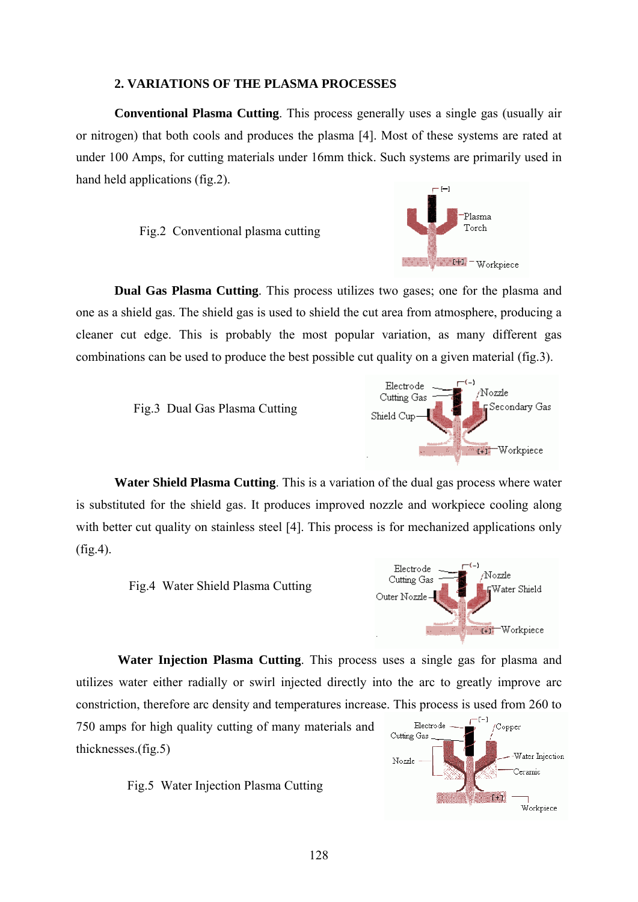#### **2. VARIATIONS OF THE PLASMA PROCESSES**

 **Conventional Plasma Cutting**. This process generally uses a single gas (usually air or nitrogen) that both cools and produces the plasma [4]. Most of these systems are rated at under 100 Amps, for cutting materials under 16mm thick. Such systems are primarily used in hand held applications (fig.2).

Fig.2 Conventional plasma cutting



**Dual Gas Plasma Cutting**. This process utilizes two gases; one for the plasma and one as a shield gas. The shield gas is used to shield the cut area from atmosphere, producing a cleaner cut edge. This is probably the most popular variation, as many different gas combinations can be used to produce the best possible cut quality on a given material (fig.3).





**Water Shield Plasma Cutting**. This is a variation of the dual gas process where water is substituted for the shield gas. It produces improved nozzle and workpiece cooling along with better cut quality on stainless steel [4]. This process is for mechanized applications only (fig.4).





 **Water Injection Plasma Cutting**. This process uses a single gas for plasma and utilizes water either radially or swirl injected directly into the arc to greatly improve arc constriction, therefore arc density and temperatures increase. This process is used from 260 to

750 amps for high quality cutting of many materials and thicknesses.(fig.5)



Fig.5 Water Injection Plasma Cutting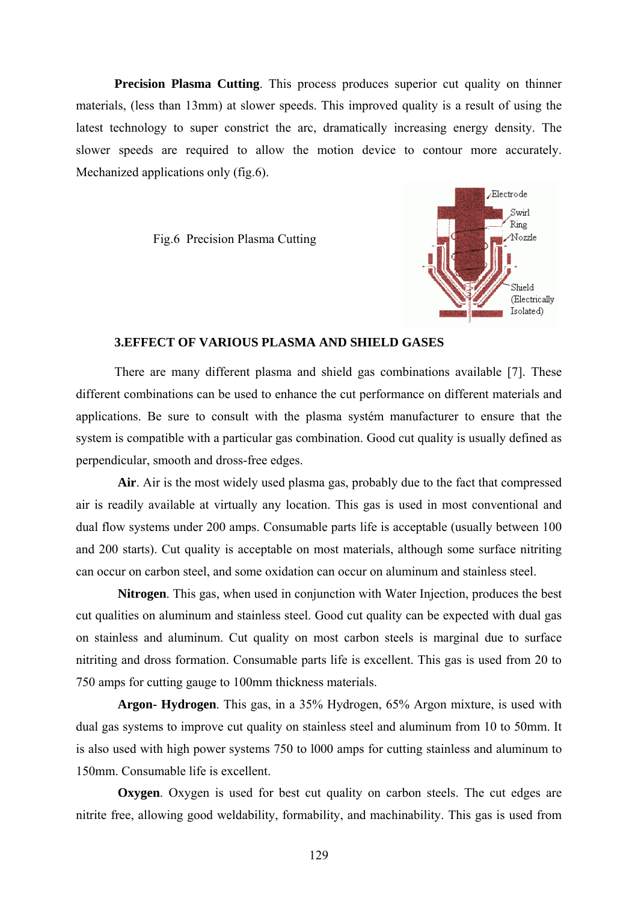**Precision Plasma Cutting**. This process produces superior cut quality on thinner materials, (less than 13mm) at slower speeds. This improved quality is a result of using the latest technology to super constrict the arc, dramatically increasing energy density. The slower speeds are required to allow the motion device to contour more accurately. Mechanized applications only (fig.6).

Fig.6 Precision Plasma Cutting



#### **3.EFFECT OF VARIOUS PLASMA AND SHIELD GASES**

There are many different plasma and shield gas combinations available [7]. These different combinations can be used to enhance the cut performance on different materials and applications. Be sure to consult with the plasma systém manufacturer to ensure that the system is compatible with a particular gas combination. Good cut quality is usually defined as perpendicular, smooth and dross-free edges.

 **Air**. Air is the most widely used plasma gas, probably due to the fact that compressed air is readily available at virtually any location. This gas is used in most conventional and dual flow systems under 200 amps. Consumable parts life is acceptable (usually between 100 and 200 starts). Cut quality is acceptable on most materials, although some surface nitriting can occur on carbon steel, and some oxidation can occur on aluminum and stainless steel.

 **Nitrogen**. This gas, when used in conjunction with Water Injection, produces the best cut qualities on aluminum and stainless steel. Good cut quality can be expected with dual gas on stainless and aluminum. Cut quality on most carbon steels is marginal due to surface nitriting and dross formation. Consumable parts life is excellent. This gas is used from 20 to 750 amps for cutting gauge to 100mm thickness materials.

 **Argon- Hydrogen**. This gas, in a 35% Hydrogen, 65% Argon mixture, is used with dual gas systems to improve cut quality on stainless steel and aluminum from 10 to 50mm. It is also used with high power systems 750 to l000 amps for cutting stainless and aluminum to 150mm. Consumable life is excellent.

**Oxygen**. Oxygen is used for best cut quality on carbon steels. The cut edges are nitrite free, allowing good weldability, formability, and machinability. This gas is used from